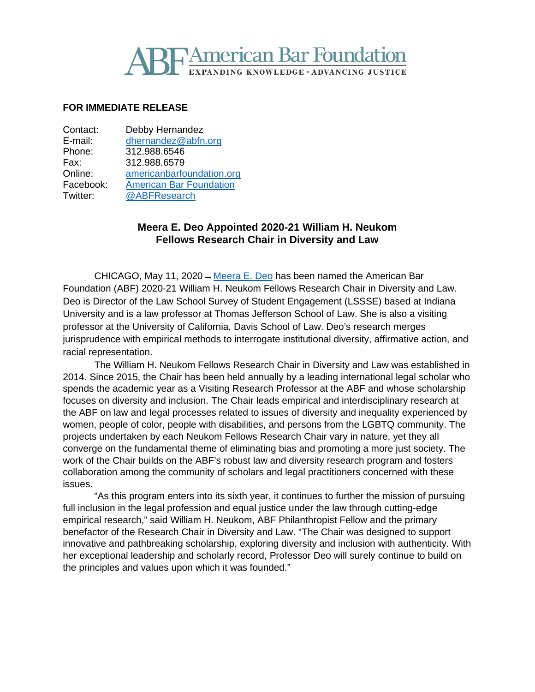# **TAmerican Bar Foundation IDING KNOWLEDGE • ADVANCING JUSTICE**

## **FOR IMMEDIATE RELEASE**

| Contact:  | Debby Hernandez                |
|-----------|--------------------------------|
| E-mail:   | dhernandez@abfn.org            |
| Phone:    | 312.988.6546                   |
| Fax:      | 312.988.6579                   |
| Online:   | americanbarfoundation.org      |
| Facebook: | <b>American Bar Foundation</b> |
| Twitter:  | @ABFResearch                   |
|           |                                |

# **Meera E. Deo Appointed 2020-21 William H. Neukom Fellows Research Chair in Diversity and Law**

CHICAGO, May 11, 2020 ̶ [Meera E.](https://www.tjsl.edu/directory/meera-e-deo) Deo has been named the American Bar Foundation (ABF) 2020-21 William H. Neukom Fellows Research Chair in Diversity and Law. Deo is Director of the Law School Survey of Student Engagement (LSSSE) based at Indiana University and is a law professor at Thomas Jefferson School of Law. She is also a visiting professor at the University of California, Davis School of Law. Deo's research merges jurisprudence with empirical methods to interrogate institutional diversity, affirmative action, and racial representation.

The William H. Neukom Fellows Research Chair in Diversity and Law was established in 2014. Since 2015, the Chair has been held annually by a leading international legal scholar who spends the academic year as a Visiting Research Professor at the ABF and whose scholarship focuses on diversity and inclusion. The Chair leads empirical and interdisciplinary research at the ABF on law and legal processes related to issues of diversity and inequality experienced by women, people of color, people with disabilities, and persons from the LGBTQ community. The projects undertaken by each Neukom Fellows Research Chair vary in nature, yet they all converge on the fundamental theme of eliminating bias and promoting a more just society. The work of the Chair builds on the ABF's robust law and diversity research program and fosters collaboration among the community of scholars and legal practitioners concerned with these issues.

"As this program enters into its sixth year, it continues to further the mission of pursuing full inclusion in the legal profession and equal justice under the law through cutting-edge empirical research," said William H. Neukom, ABF Philanthropist Fellow and the primary benefactor of the Research Chair in Diversity and Law. "The Chair was designed to support innovative and pathbreaking scholarship, exploring diversity and inclusion with authenticity. With her exceptional leadership and scholarly record, Professor Deo will surely continue to build on the principles and values upon which it was founded."